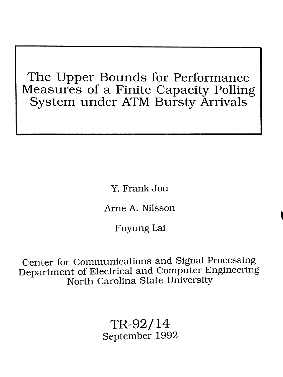# The Upper Bounds for Performance Measures of a Finite Capacity Polling System under ATM Bursty Arrivals

Y. FrankJou

Ame A. **Nilsson**

,

Fuyung Lai

Center for Communications and Signal Processing Department of Electrical and Computer Engineering North Carolina State University

> TR-92/14 September 1992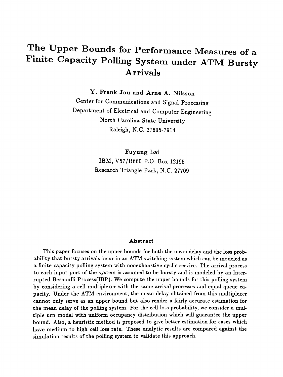# The Upper Bounds for Performance Measures of a Finite Capacity Polling System under ATM Bursty Arrivals

Y. Frank Jou and Arne A. Nilsson

Center for Communications and Signal Processing Department of Electrical and Computer Engineering North Carolina State University Raleigh, N.C. 27695-7914

> Fuyung Lai IBM, V57/B660 P.O. Box 12195 Research Triangle Park, N.C. 27709

#### Abstract

This paper focuses on the upper bounds for both the mean delay and the loss probability that bursty arrivals incur in an ATM switching system which can be modeled as a finite capacity polling system with nonexhaustive cyclic service. The arrival process to each input port of the system is assumed to be bursty and is modeled by an Interrupted Bernoulli Process(IBP). We compute the upper bounds for this polling system by considering a cell multiplexer with the same arrival processes and equal queue capacity. Under the ATM environment, the mean delay obtained from this multiplexer cannot only serve as an upper bound but also render a fairly accurate estimation for the mean delay of the polling system. For the cell loss probability, we consider a multiple urn model with uniform occupancy distribution which will guarantee the upper bound. Also, a heuristic method is proposed to give better estimation for cases which have medium to high cell loss rate. These analytic results are compared against the simulation results of the polling system to validate this approach.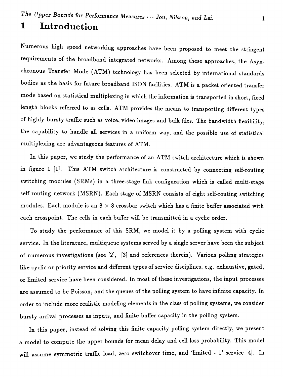# **1 Introduction**

Numerous high speed networking approaches have been proposed to meet the stringent requirements of the broadband integrated networks. Among these approaches, the Asynchronous Transfer Mode (ATM) technology has been selected by international standards bodies as the basis for future broadband ISDN facilities. ATM is a packet oriented transfer mode based on statistical multiplexing in which the information is transported in short, fixed length blocks referred to as cells. ATM provides the means to transporting different types of highly bursty traffic such as voice, video images and bulk files. The bandwidth flexibility, **the capability to handle all services in a uniform way, and the possible use of statistical multiplexing are advantageous features of ATM.**

**In this paper, we study the performance of an ATM switch architecture which is shown In figure 1 [1]. This ATM switch architecture is constructed by connecting self-routing switching modules (SRMs) in a three-stage link configuration which is called multi-stage self-routing network (MSRN). Each stage of MSRN consists of eight self-routing switching modules. Each module is an 8 x 8 crossbar switch which has a finite buffer associated with each crosspoint. The cells in each buffer will be transmitted in a cyclic order.**

**To study the performance of this SRM, we model it by a polling system with cyclic service. In the literature,** multiqueue **systems served by a single server have been the subject of numerous investigations (see [2], [3] and references therein). Various polling strategies like cyclic or priority service and different types of service disciplines, e.g. exhaustive, gated, or limited service have been considered. In most of these investigations, the input processes are assumed to be Poisson, and the queues of the polling system to have infinite capacity. In order to include more realistic modeling elements in the class of polling systems, we consider bursty arrival processes as inputs, and finite buffer capacity in the polling system.**

**In this paper, instead of solving this finite capacity polling system directly, we present a model to compute the upper bounds for mean delay and** cell loss **probability. This model** will **assume symmetric traffic load, zero switchover time, and 'limited - l' service [4]. In**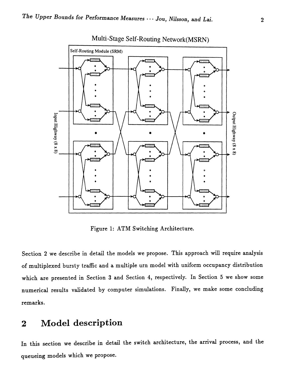

Multi-Stage Self-Routing Network(MSRN)

Figure 1: ATM Switching Architecture.

Section 2 we describe in detail the models we propose. This approach will require analysis of multiplexed bursty traffic and a multiple urn model with uniform occupancy distribution which are presented in Section 3 and Section 4, respectively. In Section 5 we show some numerical results validated by computer simulations. Finally, we make some concluding remarks.

#### Model description  $\overline{2}$

In this section we describe in detail the switch architecture, the arrival process, and the queueing models which we propose.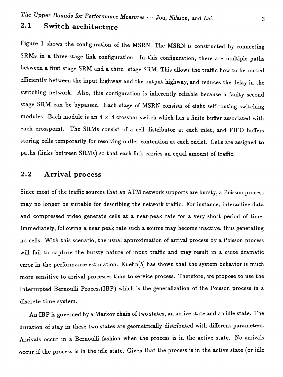## 2.1 Switch architecture

Figure 1 shows the configuration of the MSRN. The MSRN is constructed by connecting SRMs in a three-stage link configuration. In this configuration, there are multiple paths between a first-stage SRM and a third- stage SRM. This allows the traffic flow to be routed efficiently between the input highway and the output highway, and reduces the delay in the switching network. Also, this configuration is inherently reliable because a faulty second stage SRM can be bypassed. Each stage of MSRN consists of eight self-routing switching modules. Each module is an  $8 \times 8$  crossbar switch which has a finite buffer associated with each crosspoint. The SRMs consist of a cell distributor at each inlet, and FIFO buffers storing cells temporarily for resolving outlet contention at each outlet. Cells are assigned to paths (links between SRMs) so that each link carries an equal amount of traffic.

### 2.2 Arrival process

Since most of the traffic sources that an ATM network supports are bursty, a Poisson process may no longer be suitable for describing the network traffic. For instance, interactive data and compressed video generate cells at a near-peak rate for a very short period of time. Immediately, following a near peak rate such a source may become inactive, thus generating no cells. With this scenario, the usual approximation of arrival process by a Poisson process will fail to capture the bursty nature of input traffic and may result in a quite dramatic error in the performance estimation. Kuehn[5] has shown that the system behavior is much more sensitive to arrival processes than to service process. Therefore, we propose to use the Interrupted Bernoulli Process(IBP) which is the generalization of the Poisson process in a discrete time system.

An IBP is governed by a Markov chain of two states, an active state and an idle state. The duration of stay in these two states are geometrically distributed with different parameters. Arrivals occur in a Bernoulli fashion when the process is in the active state. No arrivals occur if the process is in the idle state. Given that the process is in the active state (or idle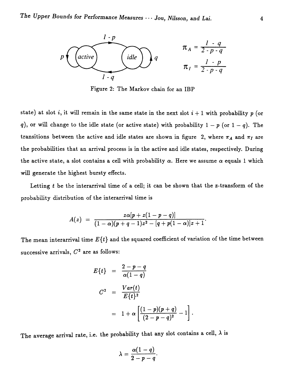

Figure 2: The Markov chain for an IBP

state) at slot *i*, it will remain in the same state in the next slot  $i + 1$  with probability  $p$  (or *q*), or will change to the idle state (or active state) with probability  $1 - p$  (or  $1 - q$ ). The transitions between the active and idle states are shown in figure 2, where  $\pi_A$  and  $\pi_I$  are the probabilities that an arrival process is in the active and idle states, respectively. During the active state, a slot contains a cell with probability  $\alpha$ . Here we assume  $\alpha$  equals 1 which will generate the highest bursty effects.

Letting  $t$  be the interarrival time of a cell; it can be shown that the z-transform of the probability distribution of the interarrival time is

$$
A(z) = \frac{z\alpha[p+z(1-p-q)]}{(1-\alpha)(p+q-1)z^2-[q+p(1-\alpha)]z+1}.
$$

The mean interarrival time *E{t}* and the squared coefficient of variation of the time between successive arrivals, *C*<sup>2</sup> are as follows:

$$
E\{t\} = \frac{2-p-q}{\alpha(1-q)}
$$
  

$$
C^2 = \frac{Var(t)}{E\{t\}^2}
$$
  

$$
= 1 + \alpha \left[ \frac{(1-p)(p+q)}{(2-p-q)^2} - 1 \right].
$$

The average arrival rate, i.e. the probability that any slot contains a cell,  $\lambda$  is

$$
\lambda=\frac{\alpha(1-q)}{2-p-q}.
$$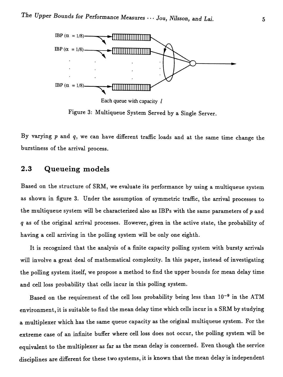

Figure 3: Multiqueue System Served by a Single Server.

By varying *p* and *q,* we can have different traffic loads and at the same time change the burstiness of the arrival process.

#### 2.3 Queueing models

Based on the structure of SRM, we evaluate its performance by using a multiqueue system as shown in figure 3. Under the assumption of symmetric traffic, the arrival processes to the multiqueue system will be characterized also as IBPs with the same parameters of  $p$  and *q* as of the original arrival processes. However, given in the active state, the probability of having a cell arriving in the polling system will be only one eighth.

It is recognized that the analysis of a finite capacity polling system with bursty arrivals will involve a great deal of mathematical complexity. In this paper, instead of investigating the polling system itself, we propose a method to find the upper bounds for mean delay time and cell loss probability that cells incur in this polling system.

Based on the requirement of the cell loss probability being less than  $10^{-9}$  in the ATM environment, it is suitable to find the mean delay time which cells incur in a SRM by studying a multiplexer which has the same queue capacity as the original multiqueue system. For the extreme case of an infinite buffer where cell loss does not occur, the polling system will be equivalent to the multiplexer as far as the mean delay is concerned. Even though the service disciplines are different for these two systems, it is known that the mean delay is independent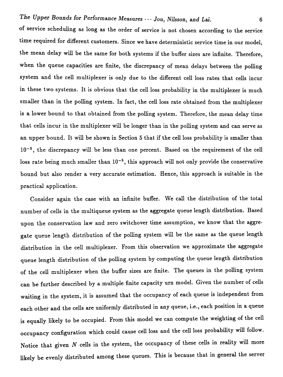of service scheduling as long as the order of service is not chosen according to the service time required for different customers. Since we have deterministic service time in our model, the mean delay will be the same for both systems if the buffer sizes are infinite. Therefore, when the queue capacities are finite, the discrepancy of mean delays between the polling system and the cell multiplexer is only due to the different cell loss rates that cells incur in these two systems. It is obvious that the cell loss probability in the multiplexer is much smaller than in the polling system. In fact, the cell loss rate obtained from the multiplexer is a lower bound to that obtained from the polling system. Therefore, the mean delay time that cells incur in the multiplexer will be longer than in the polling system and can serve as an upper bound. It will be shown in Section 5 that if the cell loss probability is smaller than  $10^{-5}$ , the discrepancy will be less than one percent. Based on the requirement of the cell loss rate being much smaller than  $10^{-5}$ , this approach will not only provide the conservative bound but also render a very accurate estimation. Hence, this approach is suitable in the practical application.

Consider again the case with an infinite buffer. We call the distribution of the total number of cells in the multiqueue system as the aggregate queue length distribution. Based upon the conservation law and zero switchover time assumption, we know that the aggregate queue length distribution of the polling system will be the same as the queue length distribution in the cell multiplexer. From this observation we approximate the aggregate queue length distribution of the polling system by computing the queue length distribution of the cell multiplexer when the buffer sizes are finite. The queues in the polling system can be further described by a multiple finite capacity urn model. Given the number of cells waiting in the system, it is assumed that the occupancy of each queue is independent from each other and the cells are uniformly distributed in any queue, i.e., each position in a queue is equally likely to be occupied. From this model we can compute the weighting of the cell occupancy configuration which could cause cell loss and the cell loss probability will follow. Notice that given  $N$  cells in the system, the occupancy of these cells in reality will more likely be evenly distributed among these queues. This is because that in general the server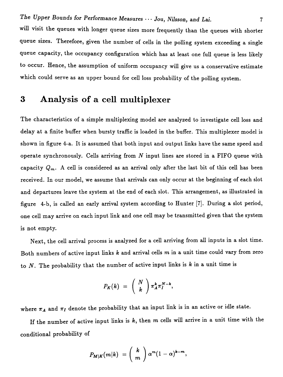will visit the queues with longer queue sizes more frequently than the queues with shorter queue sizes. Therefore, given the number of cells in the polling system exceeding a single queue capacity, the occupancy configuration which has at least one full queue is less likely to occur. Hence, the assumption of uniform occupancy will give us a conservative estimate which could serve as an upper bound for cell loss probability of the polling system.

# 3 Analysis of a cell multiplexer

The characteristics of a simple multiplexing model are analyzed to investigate cell loss and delay at a finite buffer when bursty traffic is loaded in the buffer. This multiplexer model is shown in figure 4-a. It is assumed that both input and output links have the same speed and operate synchronously. Cells arriving from  $N$  input lines are stored in a FIFO queue with capacity  $Q_m$ . A cell is considered as an arrival only after the last bit of this cell has been received. In our model, we assume that arrivals can only occur at the beginning of each slot and departures leave the system at the end of each slot. This arrangement, as illustrated in figure 4-b, is called an early arrival system according to Hunter [7]. During a slot period, one cell may arrive on each input link and one cell may be transmitted given that the system is not empty.

Next, the cell arrival process is analyzed for a cell arriving from all inputs in a slot time. Both numbers of active input links  $k$  and arrival cells  $m$  in a unit time could vary from zero to *N.* The probability that the number of active input links is *k* in a unit time is

$$
P_K(k) = {N \choose k} \pi_A^k \pi_I^{N-k},
$$

where  $\pi_A$  and  $\pi_I$  denote the probability that an input link is in an active or idle state.

If the number of active input links is  $k$ , then  $m$  cells will arrive in a unit time with the conditional probability of

$$
P_{M|K}(m|k) = \binom{k}{m} \alpha^m (1-\alpha)^{k-m},
$$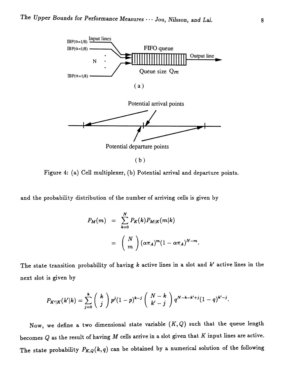

Figure 4: (a) Cell multiplexer, (b) Potential arrival and departure points.

and the probability distribution of the number of arriving cells is given by

$$
P_M(m) = \sum_{k=0}^{N} P_K(k) P_{M|K}(m|k)
$$
  
= 
$$
\binom{N}{m} (\alpha \pi_A)^m (1 - \alpha \pi_A)^{N-m}
$$

The state transition probability of having k active lines in a slot and *k'* active lines in the next slot is given by

$$
P_{K'|K}(k'|k) = \sum_{j=0}^k \binom{k}{j} p^j (1-p)^{k-j} \binom{N-k}{k'-j} q^{N-k-k'+j} (1-q)^{k'-j}.
$$

Now, we define a two dimensional state variable  $(K,Q)$  such that the queue length becomes  $Q$  as the result of having  $M$  cells arrive in a slot given that  $K$  input lines are active. The state probability  $P_{K,Q}(k,q)$  can be obtained by a numerical solution of the following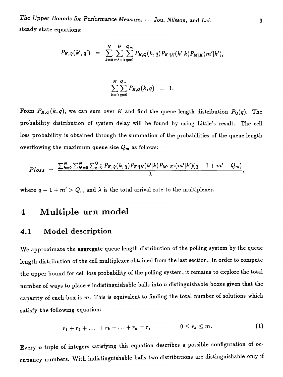*The Upper Bounds for* Performance Measures .. · Jou, *Nilsson,* and *Lai.* steady state equations:

$$
P_{K,Q}(k',q') = \sum_{k=0}^{N} \sum_{m'=0}^{k'} \sum_{q=0}^{Q_m} P_{K,Q}(k,q) P_{K'|K}(k'|k) P_{M|K}(m'|k'),
$$

$$
\sum_{k=0}^N \sum_{q=0}^{Q_m} P_{K,Q}(k,q) = 1.
$$

From  $P_{K,Q}(k, q)$ , we can sum over K and find the queue length distribution  $P_Q(q)$ . The probability distribution of system delay will be found by using Little's result. The cell loss probability is obtained through the summation of the probabilities of the queue length overflowing the maximum queue size  $Q_m$  as follows:

$$
Ploss = \frac{\sum_{k=0}^{N} \sum_{k'=0}^{N} \sum_{q=0}^{Q_m} P_{K,Q}(k,q) P_{K'|K}(k'|k) P_{M'|K'}(m'|k')(q-1+m'-Q_m)}{\lambda},
$$

where  $q - 1 + m' > Q_m$  and  $\lambda$  is the total arrival rate to the multiplexer.

## 4 Multiple urn model

#### 4.1 Model description

We approximate the aggregate queue length distribution of the polling system by the queue length distribution of the cell multiplexer obtained from the last section. In order to compute the upper bound for cell loss probability of the polling system, it remains to explore the total number of ways to place r indistinguishable balls into *n* distinguishable boxes given that the capacity of each box is m. This is equivalent to finding the total number of solutions which satisfy the following equation:

$$
r_1+r_2+\ldots+r_k+\ldots+r_n=r, \qquad 0\leq r_k\leq m. \qquad (1)
$$

Every n-tuple of integers satisfying this equation describes a possible configuration of occupancy numbers. With indistinguishable balls two distributions are distinguishable only if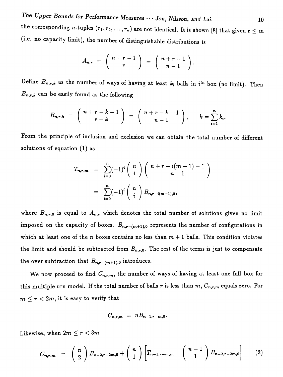*The Upper Bounds for* Performance Measures ... Jou, *Nilsson,* and *Lei, 10* the corresponding *n*-tuples  $(r_1, r_2, \ldots, r_n)$  are not identical. It is shown [8] that given  $r \leq m$ (i.e. no capacity limit), the number of distinguishable distributions is

$$
A_{n,r} = \left(\begin{array}{c} n+r-1 \\ r \end{array}\right) = \left(\begin{array}{c} n+r-1 \\ n-1 \end{array}\right).
$$

Define  $B_{n,r,k}$  as the number of ways of having at least  $k_i$  balls in  $i^{th}$  box (no limit). Then  $B_{n,r,k}$  can be easily found as the following

$$
B_{n,r,k} = \begin{pmatrix} n+r-k-1 \ r-k \end{pmatrix} = \begin{pmatrix} n+r-k-1 \ n-1 \end{pmatrix}, \quad k = \sum_{i=1}^n k_i.
$$

From the principle of inclusion and exclusion we can obtain the total number of different solutions of equation (1) as

$$
T_{n,r,m} = \sum_{i=0}^{n} (-1)^{i} {n \choose i} {n+r-i(m+1)-1 \choose n-1}
$$
  
= 
$$
\sum_{i=0}^{n} (-1)^{i} {n \choose i} B_{n,r-i(m+1),0},
$$

where  $B_{n,r,0}$  is equal to  $A_{n,r}$  which denotes the total number of solutions given no limit imposed on the capacity of boxes.  $B_{n,r-(m+1),0}$  represents the number of configurations in which at least one of the *n* boxes contains no less than  $m + 1$  balls. This condition violates the limit and should be subtracted from  $B_{n,r,0}$ . The rest of the terms is just to compensate the over subtraction that  $B_{n,r-(m+1),0}$  introduces.

We now proceed to find  $C_{n,r,m}$ , the number of ways of having at least one full box for this multiple urn model. If the total number of balls *r* is less than m, *Cn,r,m* equals zero. For  $m \le r < 2m$ , it is easy to verify that

$$
C_{n,r,m} = nB_{n-1,r-m,0}.
$$

Likewise, when  $2m \le r < 3m$ 

$$
C_{n,r,m} = {n \choose 2} B_{n-2,r-2m,0} + {n \choose 1} \left[ T_{n-1,r-m,m} - {n-1 \choose 1} B_{n-2,r-2m,0} \right]
$$
 (2)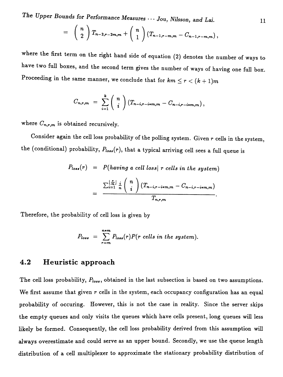*The Upper Bounds for* Performance Measures '" Jou, *Nilsson,* and *Lai.*

$$
= \binom{n}{2} T_{n-2,r-2m,m} + \binom{n}{1} (T_{n-1,r-m,m} - C_{n-1,r-m,m}),
$$

where the first term on the right hand side of equation (2) denotes the number of ways to have two full boxes, and the second term gives the number of ways of having one full box. Proceeding in the same manner, we conclude that for  $km \le r < (k+1)m$ 

$$
C_{n,r,m} = \sum_{i=1}^k {n \choose i} (T_{n-i,r-i+m,m} - C_{n-i,r-i+m,m}),
$$

**where** *Cn,r,m* **is obtained recursively.**

Consider again the cell loss probability of the polling system. Given *<sup>T</sup>* cells in the system, the (conditional) probability,  $P_{loss}(r)$ , that a typical arriving cell sees a full queue is

$$
P_{loss}(r) = P(having a cell loss | r cells in the system)
$$
  
= 
$$
\frac{\sum_{i=1}^{\lfloor \frac{r}{m} \rfloor} \frac{i}{n} {n \choose i} (T_{n-i,r-i+m,m} - C_{n-i,r-i+m,m})}{T_{n,r,m}}.
$$

**Therefore, the probability of** cell loss **is given by**

$$
P_{loss} = \sum_{r=m}^{n+m} P_{loss}(r) P(r \text{ cells in the system}).
$$

#### **4.2 Heuristic approach**

**The** cell loss **probability,** *plo••,* **obtained in the last subsection is based on two assumptions. We first assume that given** *r* **cells in the system, each occupancy configuration has an equal probability of occuring. However, this is not the case in reality. Since the server skips the empty queues and only visits the queues which have cells present, long queues** will less **likely be formed. Consequently, the** cell loss **probability derived from this assumption** will **always overestimate and could serve as an upper bound. Secondly, we use the queue length distribution of a cell multiplexer to approximate the stationary probability distribution of**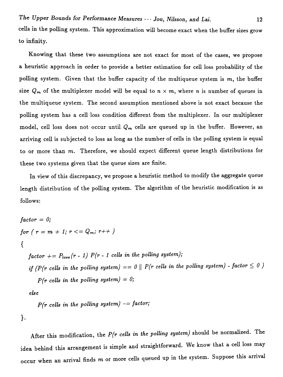cells in the polling system. This approximation will become exact when the buffer sizes grow to infinity.

Knowing that these two assumptions are not exact for most of the cases, we propose a heuristic approach in order to provide a better estimation for cell loss probability of the polling system. Given that the buffer capacity of the multiqueue system is  $m$ , the buffer size  $Q_m$  of the multiplexer model will be equal to  $n \times m$ , where *n* is number of queues in the multiqueue system. The second assumption mentioned above is not exact because the polling system has a cell loss condition different from the multiplexer. In our multiplexer model, cell loss does not occur until *Qm* cells are queued up in the buffer. However, an arriving cell is subjected to loss as long as the number of cells in the polling system is equal to or more than  $m$ . Therefore, we should expect different queue length distributions for these two systems given that the queue sizes are finite.

In view of this discrepancy, we propose a heuristic method to modify the aggregate queue length distribution of the polling system. The algorithm of the heuristic modification is as follows:

$$
factor = 0;
$$
\n
$$
for (r = m + 1; r <= Q_m; r++)
$$
\n
$$
\{\n\begin{aligned}\nfactor &+= P_{loss}(r - 1) P(r - 1 \text{ cells in the polling system}); \\
\text{if (P(r cells in the polling system) == 0 || P(r cells in the polling system) - factor < 0)\n\end{aligned}\n\}
$$
\n
$$
P(r \text{ cells in the polling system}) = 0;
$$
\n
$$
else
$$
\n
$$
P(r \text{ cells in the polling system}) - factor;
$$

After this modification, the *P(r cells* in *the polling system)* should be normalized. The idea behind this arrangement is simple and straightforward. We know that a cell loss may occur when an arrival finds  $m$  or more cells queued up in the system. Suppose this arrival

}.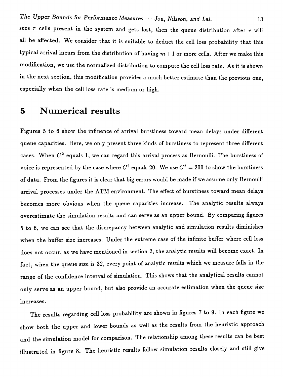sees *r* cells present in the system and gets lost, then the queue distribution after *r* will all be affected. We consider that it is suitable to deduct the cell loss probability that this typical arrival incurs from the distribution of having  $m + 1$  or more cells. After we make this modification, we use the normalized distribution to compute the cell loss rate. As it is shown in the next section, this modification provides a much better estimate than the previous one, especially when the cell loss rate is medium or high.

# 5 **Numerical results**

Figures 5 to 6 show the influence of arrival burstiness toward mean delays under different queue capacities. Here, we only present three kinds of burstiness to represent three different cases. When  $C<sup>2</sup>$  equals 1, we can regard this arrival process as Bernoulli. The burstiness of voice is represented by the case where  $C^2$  equals 20. We use  $C^2 = 200$  to show the burstiness of data. From the figures it is clear that big errors would be made if we assume only Bernoulli arrival processes under the ATM environment. The effect of burstiness toward mean delays becomes more obvious when the queue capacities increase. The analytic results always overestimate the simulation results and can serve as an upper bound. By comparing figures 5 to 6, we can see that the discrepancy between analytic and simulation results diminishes when the buffer size increases. Under the extreme case of the infinite buffer where cell loss does not occur, as we have mentioned in section 2, the analytic results will become exact. In fact, when the queue size is 32, every point of analytic results which we measure falls in the range of the confidence interval of simulation. This shows that the analytical results cannot only serve as an upper bound, but also provide an accurate estimation when the queue size increases.

The results regarding cell loss probability are shown in figures 7 to 9. In each figure we show both the upper and lower bounds as well as the results from the heuristic approach and the simulation model for comparison. The relationship among these results can be best illustrated in figure 8. The heuristic results follow simulation results closely and still give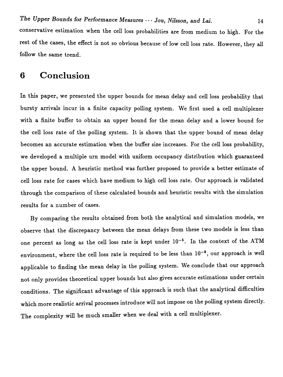**conservative estimation when the** cell loss **probabilities are from medium to high. For the rest of the cases, the effect is not so obvious because of low** cell loss **rate. However, they all follow the same trend.**

## **6 Conclusion**

**In this paper, we presented the upper bounds for mean delay and** cell loss **probability that bursty arrivals incur in a finite capacity polling system. We first used a cell multiplexer with a finite buffer to obtain an upper bound for the mean delay and a lower bound for the cell loss rate of the polling system. It is shown that the upper bound of mean delay becomes an accurate estimation when the buffer size increases. For the** cell loss **probability, we developed a multiple urn model with uniform occupancy distribution which guaranteed the upper bound. A heuristic method was further proposed to provide a better estimate of** cell loss **rate for cases which have medium to high** cell loss **rate. Our approach is validated through the comparison of these calculated bounds and heuristic results with the simulation results for a number of cases.**

**By comparing the results obtained from both the analytical and simulation models, we observe that the discrepancy between the mean delays from these two models is less than one percent as long as the cell loss rate is kept under 10-<sup>5</sup> . In the context of the ATM environment, where the** cell loss **rate is required to be less than 10-<sup>9</sup> , our approach is well** applicable to finding the mean delay in the polling system. We conclude that our approach not only provides theoretical upper bounds but also gives accurate estimations under certain conditions. The significant advantage of this approach is such that the analytical difficulties which more realistic arrival processes introduce will not impose on the polling system directly. The complexity will be much smaller when we deal with a cell multiplexer.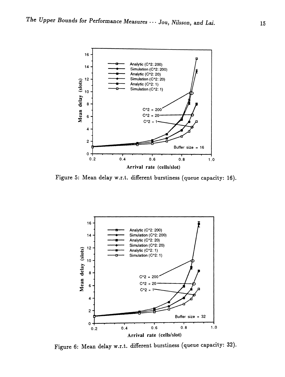

Figure 5: Mean delay w.r.t. different burstiness (queue capacity: 16).



Figure 6: Mean delay w.r.t. different burstiness (queue capacity: 32).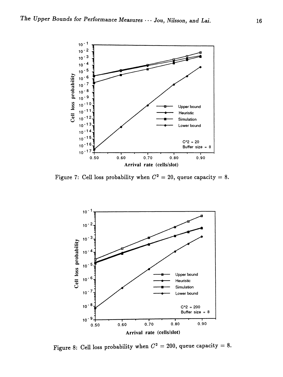

Figure 7: Cell loss probability when  $C^2 = 20$ , queue capacity = 8.



Figure 8: Cell loss probability when  $C^2 = 200$ , queue capacity = 8.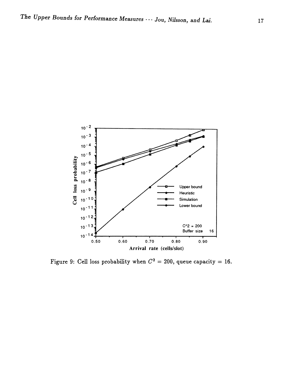

Figure 9: Cell loss probability when  $C^2 = 200$ , queue capacity = 16.